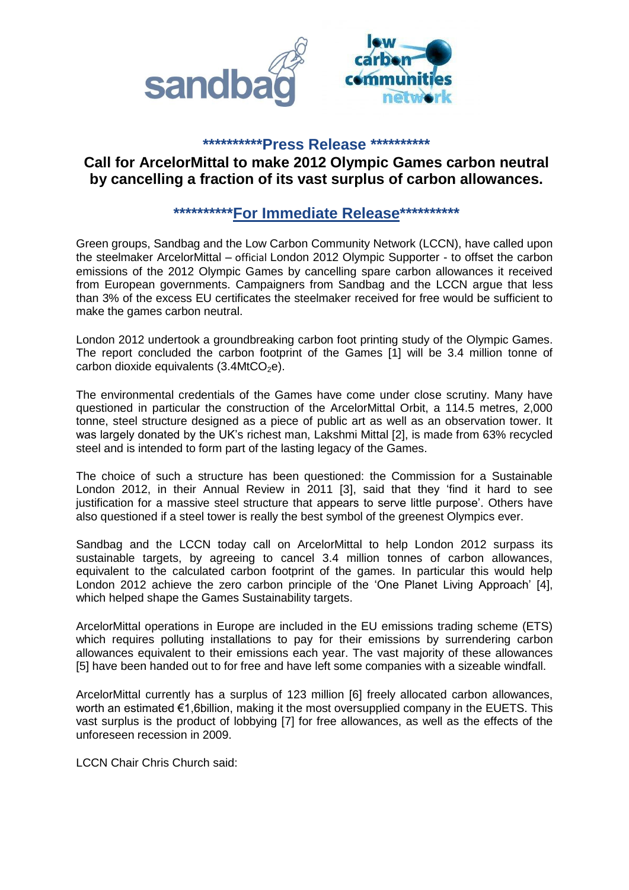

### **\*\*\*\*\*\*\*\*\*\*Press Release \*\*\*\*\*\*\*\*\*\***

# **Call for ArcelorMittal to make 2012 Olympic Games carbon neutral by cancelling a fraction of its vast surplus of carbon allowances.**

## **\*\*\*\*\*\*\*\*\*\*For Immediate Release\*\*\*\*\*\*\*\*\*\***

Green groups, Sandbag and the Low Carbon Community Network (LCCN), have called upon the steelmaker ArcelorMittal – official London 2012 Olympic Supporter - to offset the carbon emissions of the 2012 Olympic Games by cancelling spare carbon allowances it received from European governments. Campaigners from Sandbag and the LCCN argue that less than 3% of the excess EU certificates the steelmaker received for free would be sufficient to make the games carbon neutral.

London 2012 undertook a groundbreaking carbon foot printing study of the Olympic Games. The report concluded the carbon footprint of the Games [1] will be 3.4 million tonne of carbon dioxide equivalents  $(3.4MtCO<sub>2</sub>e)$ .

The environmental credentials of the Games have come under close scrutiny. Many have questioned in particular the construction of the ArcelorMittal Orbit, a 114.5 metres, 2,000 tonne, steel structure designed as a piece of public art as well as an observation tower. It was largely donated by the UK's richest man, Lakshmi Mittal [2], is made from 63% recycled steel and is intended to form part of the lasting legacy of the Games.

The choice of such a structure has been questioned: the Commission for a Sustainable London 2012, in their Annual Review in 2011 [3], said that they 'find it hard to see justification for a massive steel structure that appears to serve little purpose'. Others have also questioned if a steel tower is really the best symbol of the greenest Olympics ever.

Sandbag and the LCCN today call on ArcelorMittal to help London 2012 surpass its sustainable targets, by agreeing to cancel 3.4 million tonnes of carbon allowances, equivalent to the calculated carbon footprint of the games. In particular this would help London 2012 achieve the zero carbon principle of the 'One Planet Living Approach' [4], which helped shape the Games Sustainability targets.

ArcelorMittal operations in Europe are included in the EU emissions trading scheme (ETS) which requires polluting installations to pay for their emissions by surrendering carbon allowances equivalent to their emissions each year. The vast majority of these allowances [5] have been handed out to for free and have left some companies with a sizeable windfall.

ArcelorMittal currently has a surplus of 123 million [6] freely allocated carbon allowances, worth an estimated €1,6billion, making it the most oversupplied company in the EUETS. This vast surplus is the product of lobbying [7] for free allowances, as well as the effects of the unforeseen recession in 2009.

LCCN Chair Chris Church said: